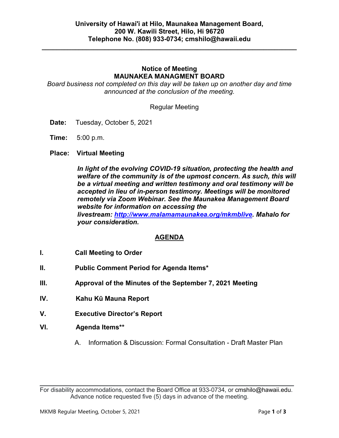**\_\_\_\_\_\_\_\_\_\_\_\_\_\_\_\_\_\_\_\_\_\_\_\_\_\_\_\_\_\_\_\_\_\_\_\_\_\_\_\_\_\_\_\_\_\_\_\_\_\_\_\_\_\_\_\_\_\_\_\_\_\_\_\_\_\_\_\_\_**

# **Notice of Meeting MAUNAKEA MANAGMENT BOARD**

*Board business not completed on this day will be taken up on another day and time announced at the conclusion of the meeting.*

Regular Meeting

- **Date:** Tuesday, October 5, 2021
- **Time:** 5:00 p.m.
- **Place: Virtual Meeting**

*In light of the evolving COVID-19 situation, protecting the health and welfare of the community is of the upmost concern. As such, this will be a virtual meeting and written testimony and oral testimony will be accepted in lieu of in-person testimony. Meetings will be monitored remotely via Zoom Webinar. See the Maunakea Management Board website for information on accessing the livestream: [http://www.malamamaunakea.org/mkmblive.](http://www.malamamaunakea.org/mkmblive) Mahalo for your consideration.*

# **AGENDA**

- **I. Call Meeting to Order**
- **II. Public Comment Period for Agenda Items\***
- **III. Approval of the Minutes of the September 7, 2021 Meeting**
- **IV. Kahu Kū Mauna Report**
- **V. Executive Director's Report**
- **VI. Agenda Items\*\***
	- A. Information & Discussion: Formal Consultation Draft Master Plan

 $\mathcal{L}_\text{max}$  and  $\mathcal{L}_\text{max}$  and  $\mathcal{L}_\text{max}$  and  $\mathcal{L}_\text{max}$  and  $\mathcal{L}_\text{max}$  and  $\mathcal{L}_\text{max}$ For disability accommodations, contact the Board Office at 933-0734, or [cmshilo@hawaii.edu.](mailto:cmshilo@hawaii.edu) Advance notice requested five (5) days in advance of the meeting.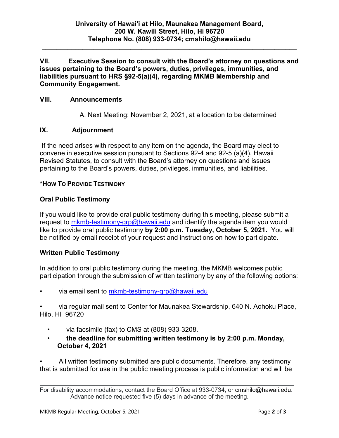**\_\_\_\_\_\_\_\_\_\_\_\_\_\_\_\_\_\_\_\_\_\_\_\_\_\_\_\_\_\_\_\_\_\_\_\_\_\_\_\_\_\_\_\_\_\_\_\_\_\_\_\_\_\_\_\_\_\_\_\_\_\_\_\_\_\_\_\_\_**

**VII. Executive Session to consult with the Board's attorney on questions and issues pertaining to the Board's powers, duties, privileges, immunities, and liabilities pursuant to HRS §92-5(a)(4), regarding MKMB Membership and Community Engagement.**

## **VIII. Announcements**

A. Next Meeting: November 2, 2021, at a location to be determined

# **IX. Adjournment**

If the need arises with respect to any item on the agenda, the Board may elect to convene in executive session pursuant to Sections 92-4 and 92-5 (a)(4), Hawaii Revised Statutes, to consult with the Board's attorney on questions and issues pertaining to the Board's powers, duties, privileges, immunities, and liabilities.

# **\*HOW TO PROVIDE TESTIMONY**

# **Oral Public Testimony**

If you would like to provide oral public testimony during this meeting, please submit a request to [mkmb-testimony-grp@hawaii.edu](mailto:mkmb-testimony-grp@hawaii.edu) and identify the agenda item you would like to provide oral public testimony **by 2:00 p.m. Tuesday, October 5, 2021.** You will be notified by email receipt of your request and instructions on how to participate.

# **Written Public Testimony**

In addition to oral public testimony during the meeting, the MKMB welcomes public participation through the submission of written testimony by any of the following options:

via email sent to [mkmb-testimony-grp@hawaii.edu](mailto:mkmb-testimony-grp@hawaii.edu)

• via regular mail sent to Center for Maunakea Stewardship, 640 N. Aohoku Place, Hilo, HI 96720

- via facsimile (fax) to CMS at (808) 933-3208.
- **the deadline for submitting written testimony is by 2:00 p.m. Monday, October 4, 2021**

• All written testimony submitted are public documents. Therefore, any testimony that is submitted for use in the public meeting process is public information and will be

 $\mathcal{L}_\text{max}$  and  $\mathcal{L}_\text{max}$  and  $\mathcal{L}_\text{max}$  and  $\mathcal{L}_\text{max}$  and  $\mathcal{L}_\text{max}$  and  $\mathcal{L}_\text{max}$ For disability accommodations, contact the Board Office at 933-0734, or [cmshilo@hawaii.edu.](mailto:cmshilo@hawaii.edu) Advance notice requested five (5) days in advance of the meeting.